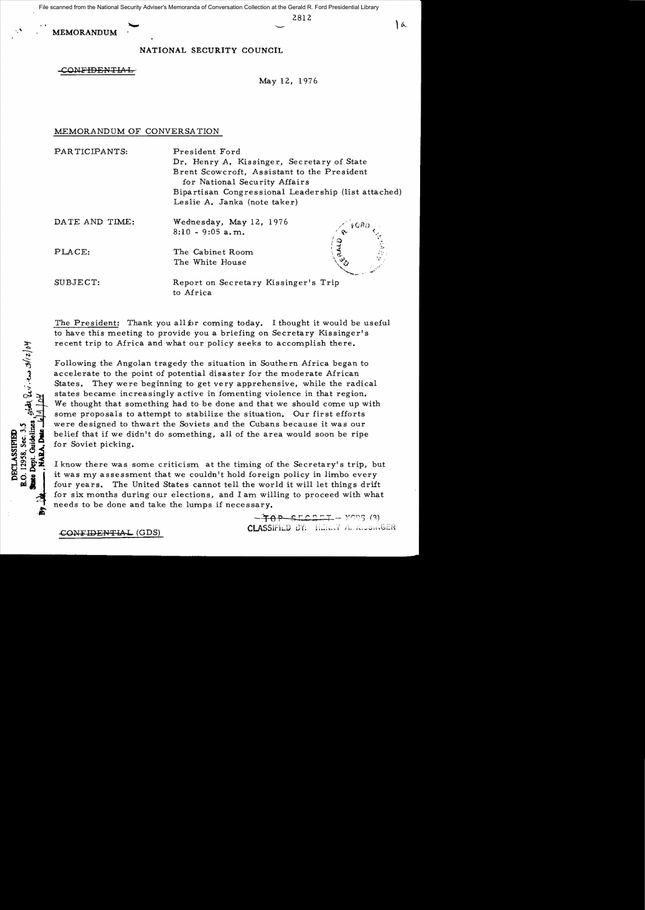File scanned from the National Security Adviser's Memoranda of Conversation Collection at the Gerald R. Ford Presidential Library

2812

) a

MEMORANDUM

" '\

Holair and S/12/04

O. 12958, Sec. 3.5 Dept. Guidelines

DECLASSIFIEL

# NATIONAL SECURITY COUNCIL

CONFIDENTIAL

May 12, 1976

# MEMORANDUM OF CONVERSA TION

| PARTICIPANTS:  | President Ford                                                               |  |
|----------------|------------------------------------------------------------------------------|--|
|                | Dr. Henry A. Kissinger, Secretary of State                                   |  |
|                | Brent Scowcroft, Assistant to the President<br>for National Security Affairs |  |
|                | Bipartisan Congressional Leadership (list attached)                          |  |
|                | Leslie A. Janka (note taker)                                                 |  |
| DATE AND TIME: | Wednesday, May 12, 1976<br>foro<br>$8:10 - 9:05$ a.m.                        |  |
|                |                                                                              |  |
| PLACE:         | The Cabinet Room                                                             |  |
|                | $\mathcal{P}_{\mathcal{O}}$<br>The White House                               |  |
| SUBJECT:       | Report on Secretary Kissinger's Trip<br>to Africa                            |  |

The President: Thank you all for coming today. I thought it would be useful to have this meeting to provide you a briefing on Secretary Kissinger's recent trip to Africa and what our policy seeks to accomplish there.

Following the Angolan tragedy the situation in Southern Africa began to accelerate to the point of potential disaster for the moderate African States. They were beginning to get very apprehensive, while the radical states became increasingly active in fomenting violence in that region. We thought that something had to be done and that we should come up with some proposals to attempt to stabilize the situation. Our first efforts were designed to thwart the Soviets and the Cubans because it was our belief that if we didn't do something, all of the area would soon be ripe for Soviet picking.

I know there was some criticism at the timing of the Secretary's trip, but it was my assessment that we couldn't hold foreign policy in limbo every four years. The United States cannot tell the world it will let things drift for six months during our elections, and I am willing to proceed with what needs to be done and take the lumps if necessary.

 $-70P - 55CPLT - Y095(3)$ CLASSIFIED BY: HERRY A. KISSINGER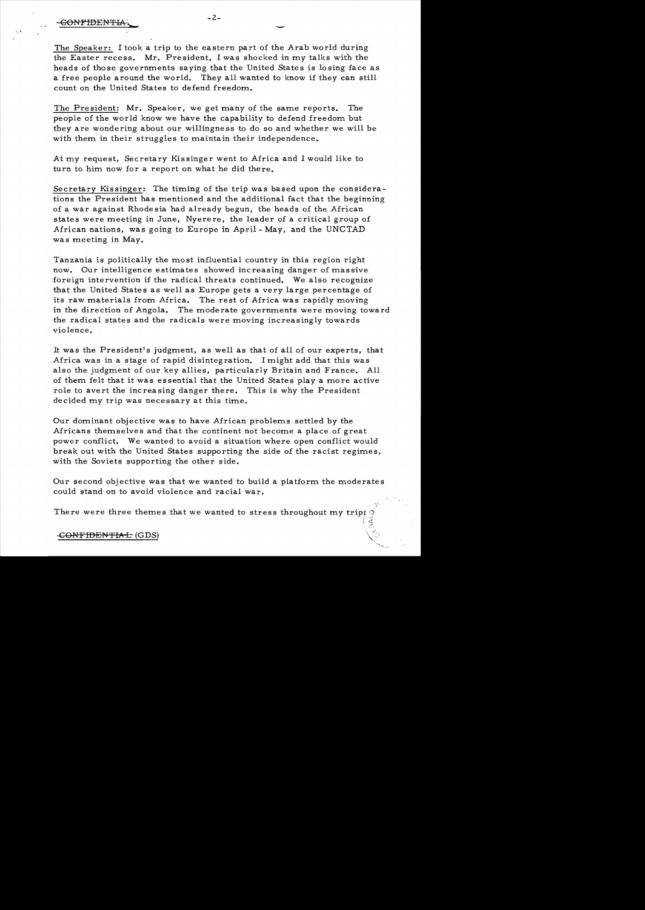The Speaker: I took a trip to the eastern part of the Arab world during the Easter recess. Mr. President, I was shocked in my talks with the heads of those governments saying that the United States is losing face as a free people around the world. They all wanted to know if they can still count on the United States to defend freedom..

The President: Mr. Speaker, we get many of the same reports. The people of the world know we have the capability to defend freedom. but they are wondering about our willingness to do so and whether we will be with them in their struggles to maintain their independence.

At my request, Secretary Kissinger went to Africa and I would like to turn to him now for a report on what he did there.

Secretary Kissinger: The timing of the trip was based upon the considerations the President has mentioned and the additional fact that the beginning of a war against Rhodesia had already begun, the heads of the African states were meeting in June, Nyerere, the leader of a critical group of African nations, was going to Europe in April- May, and the UNCTAD was meeting in May.

Tanzania is politically the most influential country in this region right now. Our intelligence estimates showed increasing danger of massive foreign intervention if the radical threats continued. We also recognize that the United States as well as Europe gets a very large percentage of its raw materials from Africa. The rest of Africa was rapidly moving in the direction of Angola. The moderate governments were moving toward the radical states and the radicals were moving increasingly towards violence.

It was the President's judgment, as well as that of all of our experts, that Africa was in a stage of rapid disintegration. I might add that this was also the judgment of our key allies, particularly Britain and France. All of them felt that it was essential that the United States play a more active role to avert the increasing danger there. This is why the President decided my trip was necessary at this time.

Our dominant objective was to have African problems settled by the Africans themselves and that the continent not become a place of great power conflict. We wanted to avoid a situation where open conflict would break out with the United States supporting the side of the racist regimes, with the Soviets supporting the other side.

Our second objective was that we wanted to build a platform the moderates could stand on to avoid violence and racial war.

> $\ddot{\cdot}$  $: x.$

There were three themes that we wanted to stress throughout my trip:

#### GONFIDENTIAL: (GDS)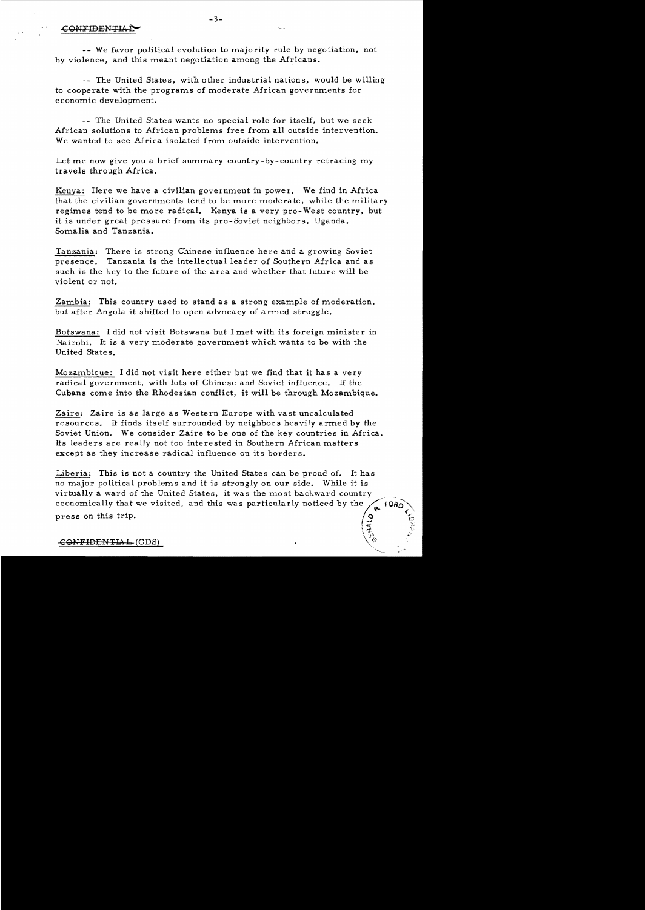#### -GONFIDENTIAF

-- We favor political evolution to majority rule by negotiation, not by violence, and this meant negotiation among the Africans.

- - The United States, with other industrial nations, would be willing to cooperate with the programs of moderate African governments for economic development.

-- The United States wants no special role for itself, but we seek African solutions to African problems free from all outside intervention. We wanted to see Africa isolated from outside intervention.

Let me now give you a brief summary country-by-country retracing my travels through Africa.

*Kenya:* Here we have a civilian government in power. We find in Africa that the civilian governments tend to be more moderate, while the military regimes tend to be more radical. Kenya is a very pro- West country, but it is under great pressure from its pro-Soviet neighbors, Uganda, Somalia and Tanzania.

Tanzania: There is strong Chinese influence here and a growing Soviet presence. Tanzania is the intellectual leader of Southern Africa and as such is the key to the future of the area and whether that future will be violent or not.

Zambia: This country used to stand as a strong example of moderation, but after Angola it shifted to open advocacy of armed struggle.

Botswana: 1 did not visit Botswana but 1 met with its foreign minister in Nairobi. It is a very moderate government which wants to be with the United States.

Mozambique: 1 did not visit here either but we find that it has a very radical government, with lots of Chinese and Soviet influence. If the Cubans come into the Rhodesian conflict, it will be through Mozambique.

Zaire: Zaire is as large as Western Europe with vast uncalculated resources. It finds itself surrounded by neighbor s heavily armed by the Soviet Union. We consider Zaire to be one of the key countries in Africa. Its leaders are really not too interested in Southern African matters except as they increase radical influence on its borders.

Liberia: This is not a country the United States can be proud of. It has no major political problems and it is strongly on our side. While it is virtually a ward of the United States, it was the most backward country economically that we visited, and this was particularly noticed by the press on this trip.  $\begin{array}{cc} \mathbb{P}_{\mathcal{P}}\mathbb{P}_{\mathcal{P}}\ \mathbb{P}_{\mathcal{P}}\mathbb{P}_{\mathcal{P}}\ \mathbb{P}_{\mathcal{P}}\mathbb{P}_{\mathcal{P}}\ \mathbb{P}_{\mathcal{P}}\mathbb{P}_{\mathcal{P}}\ \mathbb{P}_{\mathcal{P}}\end{array}$ 

 $\overline{z}$ ,  $\overline{x}$ 

 $\ddot{\phantom{a}}$  $\lambda$ 

1,.'""

#### -G<del>ONFIDENTIA L</del> (GDS)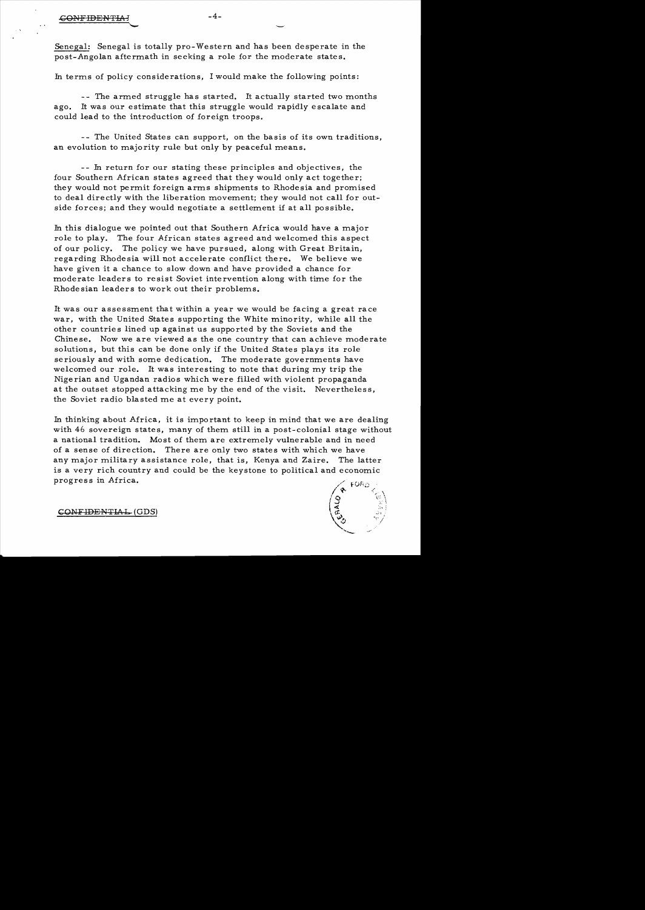**--**

Senegal: Senegal is totally pro-Western and has been desperate in the post-Angolan aftermath in seeking a role for the moderate states.

In terms of policy considerations, I would make the following points:

-- The armed struggle has started. It actually started two months ago. It was our estimate that this struggle would rapidly escalate and could lead to the introduction of foreign troops.

-- The United States can support, on the basis of its own traditions, an evolution to majority rule but only by peaceful means.

-- In return for our stating these principles and objectives, the four Southern African states agreed that they would only act together; they would not permit foreign arms shipments to Rhodesia and promised to deal directly with the liberation movement; they would not call for outside forces; and they would negotiate a settlement if at all possible.

In this dialogue we pointed out that Southern Africa would have a major role to play. The four African states agreed and welcomed this aspect of our policy. The policy we have pursued, along with Great Britain, regarding Rhode sia will not accelerate conflict there. We believe we have given it a chance to slow down and have provided a chance for moderate leaders to resist Soviet intervention along with time for the Rhodesian leaders to work out their problems.

It was our assessment that within a year we would be facing a great race war, with the United States supporting the White minority, while all the other countries lined up against us supported by the Soviets and the Chinese. Now we are viewed as the one country that can achieve moderate solutions, but this can be done only if the United States plays its role seriously and with some dedication. The moderate governments have welcomed our role. It was interesting to note that during my trip the Nigerian and Ugandan radios which were filled with violent propaganda at the outset stopped attacking me by the end of the visit. Nevertheless, the Soviet radio blasted me at every point.

In thinking about Africa, it is important to keep in mind that we are dealing with 46 sovereign states, many of them still in a post-colonial stage without a national tradition. Most of them are extremely vulnerable and in need of a sense of direction. There are only two states with which we have any major military assistance role, that is, Kenya and Zaire. The latter is a very rich country and could be the keystone to political and economic progress in Africa.



CONFIDENTIAL (GDS)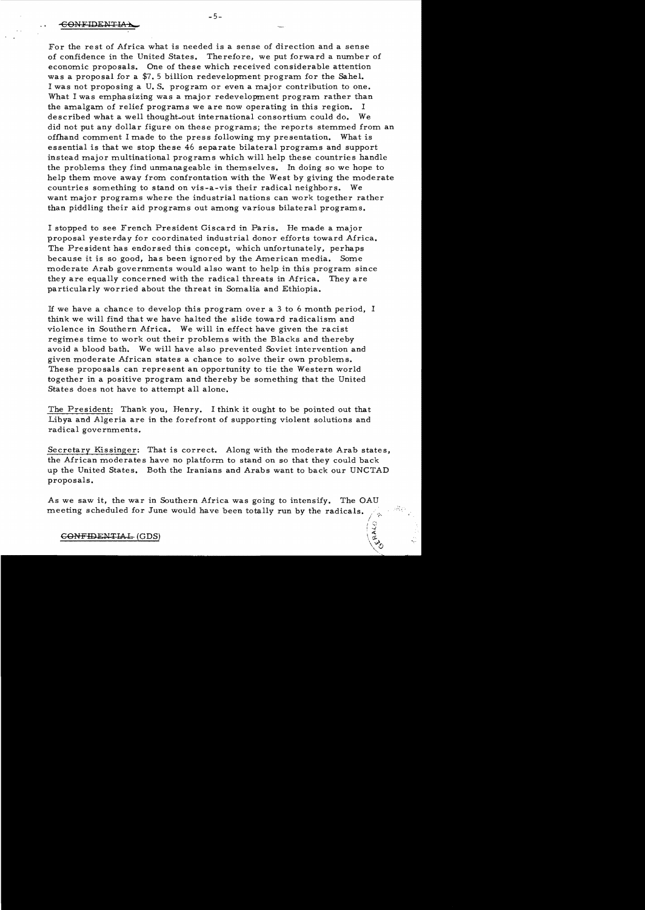For the rest of Africa what is needed is a sense of direction and a sense of confidence in the United States. Therefore, we put forward a number of economic proposals. One of these which received considerable attention was a proposal for a \$7. 5 billion redevelopment program for the Sahel. I was not proposing a U. S. program or even a major contribution to one. What I was emphasizing was a major redevelopment program rather than the amalgam of relief programs we are now operating in this region. I described what a well thought-out international consortium could do. We did not put any dollar figure on these programs; the reports stemmed from an offhand comment I made to the press following my presentation. What is essential is that we stop these 46 separate bilateral programs and support instead major multinational programs which will help these countries handle the problems they find unmanageable in themselves. In doing so we hope to help them move away from confrontation with the West by giving the moderate countries something to stand on vis-a-vis their radical neighbors. We want major programs where the industrial nations can work together rather than piddling their aid programs out among various bilateral programs.

I stopped to see French President Giscard in Paris. He made a major proposal yesterday for coordinated industrial donor efforts toward Africa. The President has endorsed this concept, which unfortunately, perhaps because it is so good, has been ignored by the American media. Some moderate Arab governments would also want to help in this program since they are equally concerned with the radical threats in Africa. They are particularly worried about the threat in Somalia and Ethiopia.

If we have a chance to develop this program over a 3 to 6 month period, I think we will find that we have halted the slide toward radicalism and violence in Southern Africa. We will in effect have given the racist regimes time to work out their problems with the Blacks and thereby avoid a blood bath. We will have also prevented Soviet intervention and given moderate African states a chance to solve their own problems. These proposals can represent an opportunity to tie the Western world together in a positive program and thereby be something that the United States does not have to attempt all alone.

The President: Thank *you,* Henry. I think it ought to be pointed out that Libya and Algeria are in the forefront of supporting violent solutions and radical governments.

Secretary Kissinger: That is correct. Along with the moderate Arab states, the African moderates have no platform to stand on so that they could back up the United States. Both the Iranians and Arabs want to back our UNCTAD proposals.

As we saw it, the war in Southern Africa was going to intensify. The OAU meeting scheduled for June would have been totally run by the radicals.

> $1 + \mathbb{C}$ ! "J

> > $\setminus$  iii.  $\setminus$  $\mathcal{S}$

### CONFIDENTIAL (GDS)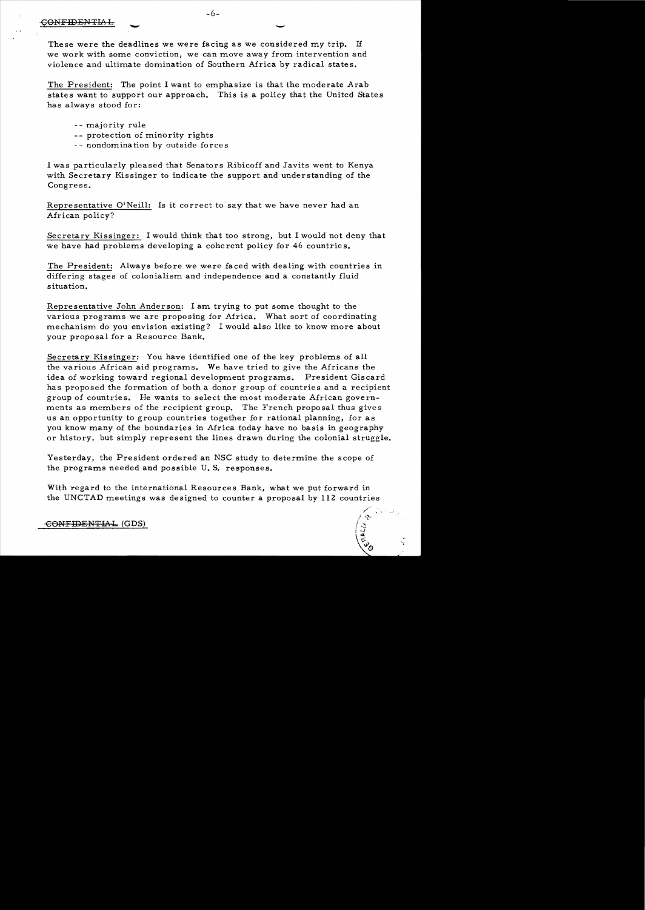### CONFIDENTIA !

These were the deadlines we were facing as we considered my trip. If we work with some conviction, we can move away from intervention and violence and ultimate domination of Southern Africa by radical states.

 $-6-$ 

The President: The point I want to emphasize is that the moderate Arab states want to support our approach. This is a policy that the United States has always stood for:

- -- majority rule
- -- protection of minority rights
- - nondomination by outside forces

I was particularly pleased that Senators Ribicoff and Javits went to Kenya with Secretary Kissinger to indicate the support and understanding of the Congress.

Representative O'Neill: Is it correct to say that we have never had an African policy?

Secretary Kissinger: I would think that too strong, but I would not deny that we have had problems developing a coherent policy for 46 countries.

The President: Always before we were faced with dealing with countries in differing stages of colonialism and independence and a constantly fluid situation.

Representative John Anderson: I am trying to put some thought to the various programs we are proposing for Africa. What sort of coordinating mechanism do you envision existing? I would also like to know more about your proposal for a Resource Bank.

Secretary Kissinger: You have identified one of the key problems of all the various African aid programs. We have tried to give the Africans the idea of working toward regional development programs. President Giscard has proposed the formation of both a donor group of countries and a recipient group of countries. He wants to select the most moderate African governments as members of the recipient group. The French proposal thus gives us an opportunity to group countries together for rational planning, for as you know many of the boundaries in Africa today have no basis in geography or history, but simply represent the lines drawn during the colonial struggle.

Yesterday, the President ordered an NSC study to determine the scope of the programs needed and possible U. S. responses.

With regard to the international Resources Bank, what we put forward in the UNCTAD meetings was designed to counter a proposal by 112 countries

/

CONFIDENTIAL (GDS)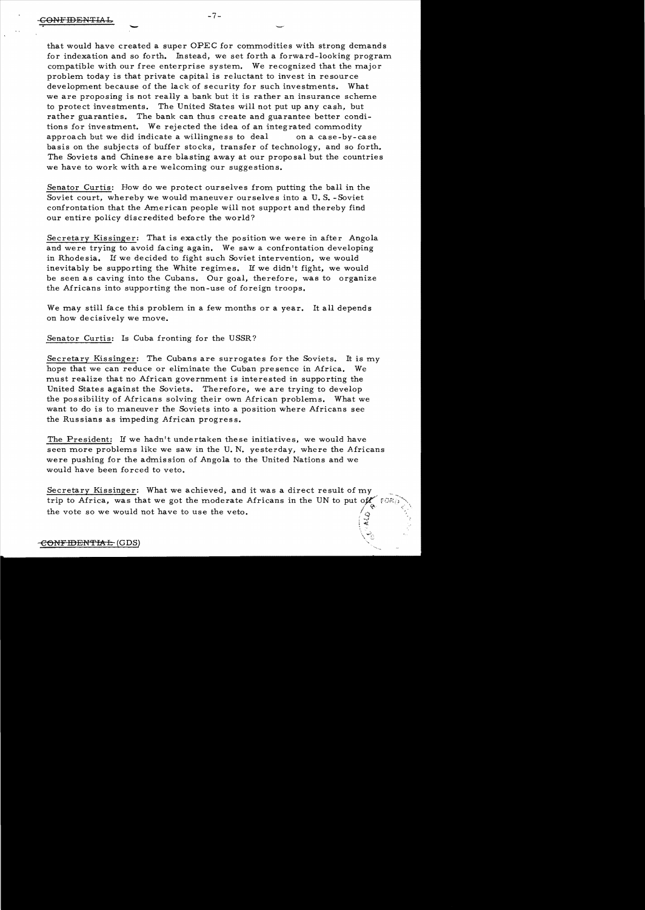-

that would have created a super OPEC for commodities with strong demands for indexation and so forth. Instead, we set forth a forward-looking program. compatible with our free enterprise system. We recognized that the major problem. today is that private capital is reluctant to invest in resource development because of the lack of security for such investments. What we are proposing is not really a bank but it is rather an insurance scheme to protect investments. The United States will not put up any cash, but rather guaranties. The bank can thus create and guarantee better conditions for investment. We rejected the idea of an integrated commodity approach but we did indicate a willingness to deal on a case-by-case basis on the subjects of buffer stocks, transfer of technology, and so forth. The Soviets and Chinese are blasting away at our proposal but the countries we have to work with are welcoming our suggestions.

Senator Curtis: How do we protect ourselves from. putting the ball in the Soviet court, whereby we would maneuver ourselves into a U.S.-Soviet confrontation that the American people will not support and thereby find our entire policy discredited before the world?

Secretary Kissinger: That is exactly the position we were in after Angola and were trying to avoid facing again. We saw a confrontation developing in Rhodesia. If we decided to fight such Soviet intervention, we would inevitably be supporting the White regimes. If we didn't fight, we would be seen as caving into the Cubans. Our goal, therefore, was to organize the Africans into supporting the non-use of foreign troops.

We may still face this problem in a few months or a year. It all depends on how decisively we move.

Senator Curtis: Is Cuba fronting for the USSR?

Secretary Kissinger: The Cubans are surrogates for the Soviets. It is my hope that we can reduce or eliminate the Cuban presence in Africa. We must realize that no African government is interested in supporting the United States against the Soviets. Therefore, we are trying to develop the possibility of Africans solving their own African problems. What we want to do is to maneuver the Soviets into a position where Africans see the Russians as impeding African progress.

The President: If we hadn't undertaken these initiatives, we would have seen more problems like we saw in the U. N. yesterday, where the Africans were pushing for the admission of Angola to the United Nations and we would have been forced to veto.

Secretary Kissinger: What we achieved, and it was a direct result of my trip to Africa, was that we got the moderate Africans in the UN to put of  $\ell$ the vote so we would not have to use the veto. I  $\ddot{\circ}$  $\mathcal{L}_{\mathcal{L}}$ 

 $\mathcal{J}$  $\mathbf{v}_h$ 

#### $\epsilon$ ONFIDENTIAI:- (GDS)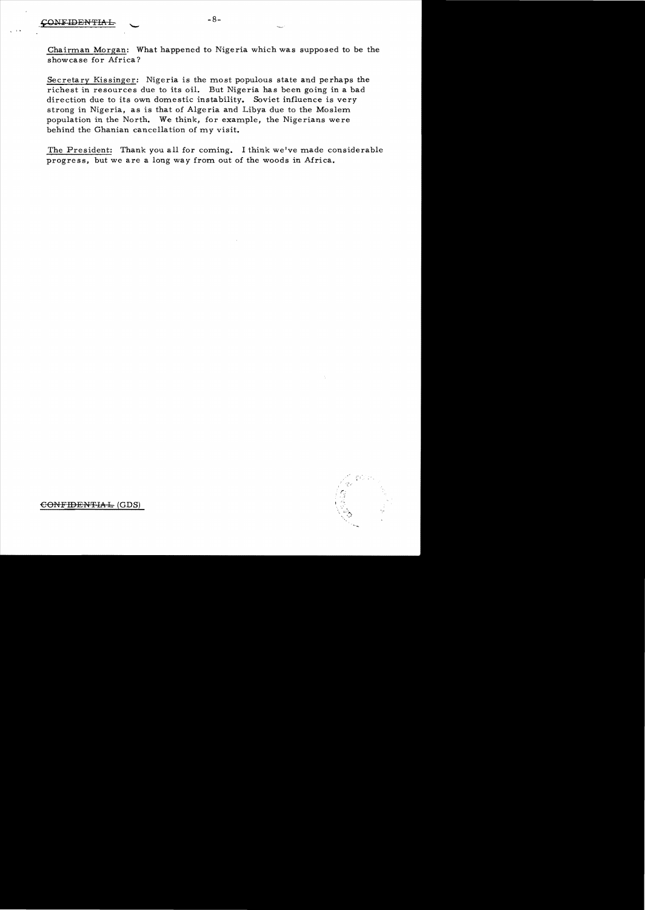$, \ldots$ 

Chairman Morgan: What happened to Nigeria which was supposed to be the showcase for Africa?

Secretary Kissinger: Nigeria is the most populous state and perhaps the richest in resources due to its oil. But Nigeria has been going in a bad direction due to its own domestic instability. Soviet influence is very strong in Nigeria, as is that of Algeria and Libya due to the Moslem. population in the North. We think, for example, the Nigerians were behind the Ghanian cancellation of my visit.

The President: Thank you all for coming. I think we've made considerable progress, but we are a long way from out of the woods in Africa.



 $\overline{\text{COMFIDENHAL}}$  (GDS)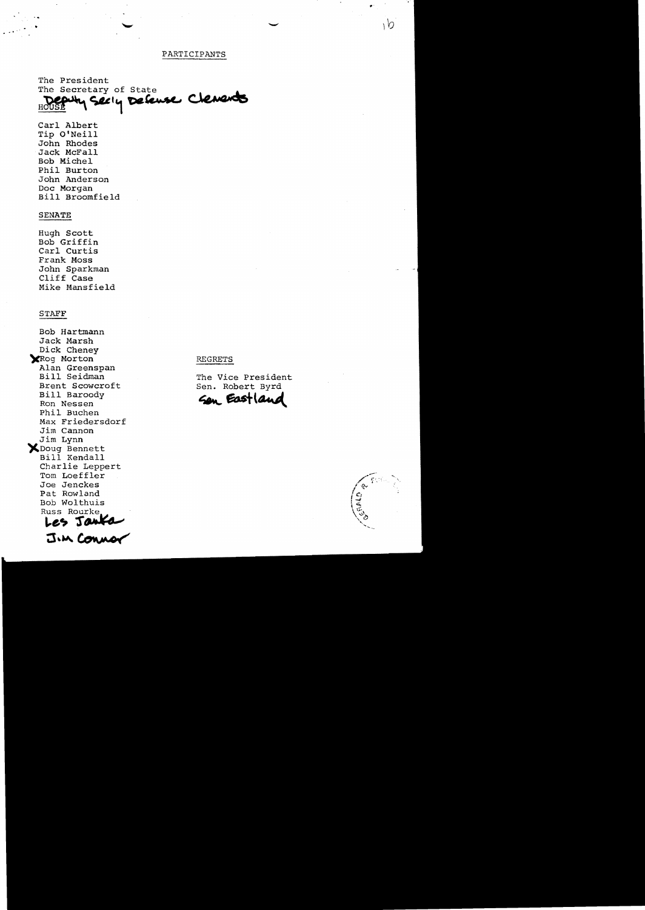PARTICIPANTS

The President The Secretary of State Secly Defense Clenents Death HOUSE

Carl Albert Tip O'Neill John Rhodes Jack McFall Bob Michel Phil Burton John Anderson Doc Morgan Bill Broomfield

### **SENATE**

Hugh Scott Bob Griffin Carl Curtis Frank Moss John Sparkman Cliff Case Mike Mansfield

### **STAFF**

Bob Hartmann Jack Marsh Dick Cheney Rog Morton Alan Greenspan Bill Seidman Brent Scowcroft Bill Baroody Ron Nessen Phil Buchen Max Friedersdorf Jim Cannon Jim Lynn Doug Bennett Bill Kendall Charlie Leppert Tom Loeffler Joe Jenckes Pat Rowland Bob Wolthuis Russ Rourke Les Janka<br>J.W Connor

#### **REGRETS**

The Vice President Sen. Robert Byrd

Sen Eastlan

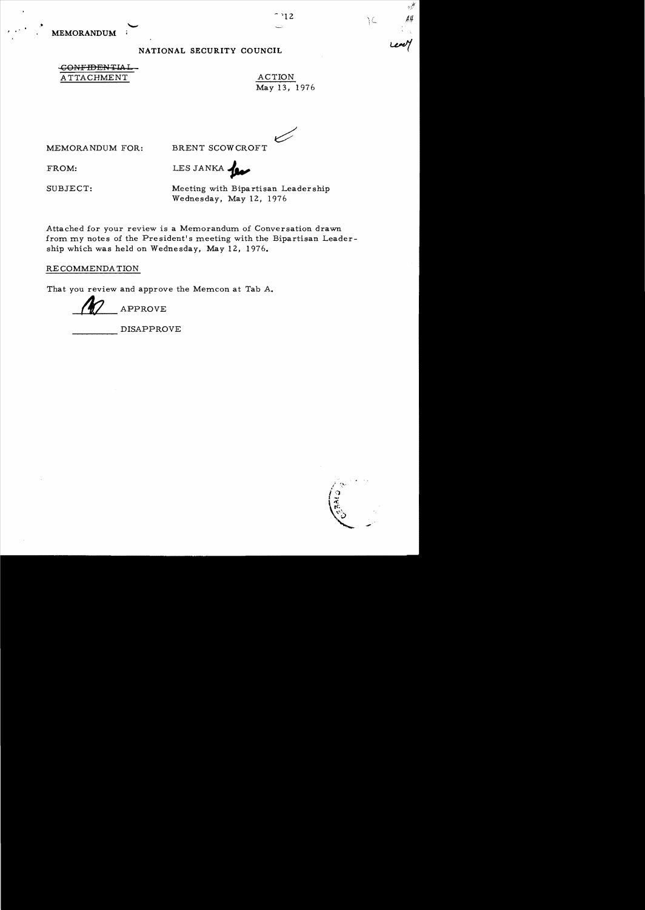61K

 $\setminus \zeta$ 

 $MEMORANDUM$ 

<del>CONFIDENTIA</del>

## **NATIONAL SECURITY COUNCIL**

ATTACHMENT ACTION May 13, 1976

MEMORANDUM FOR: BRENT SCOW CROFT

FROM: LESJANKA

SUBJECT: Meeting with Bipartisan Leadership Wednesday, May 12, 1976

Attached for your review is a Memorandum of Conversation drawn from my notes of the President's meeting with the Bipartisan Leadership which was held on Wednesday, May 12, 1976.

RECOMMENDATION

That you review and approve the Memcon at Tab A.

 $APPROVE$ 

----- DISAPPROVE